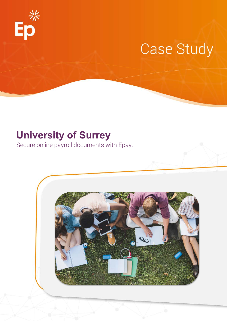

# **Case Study**

# **University of Surrey**

Secure online payroll documents with Epay.